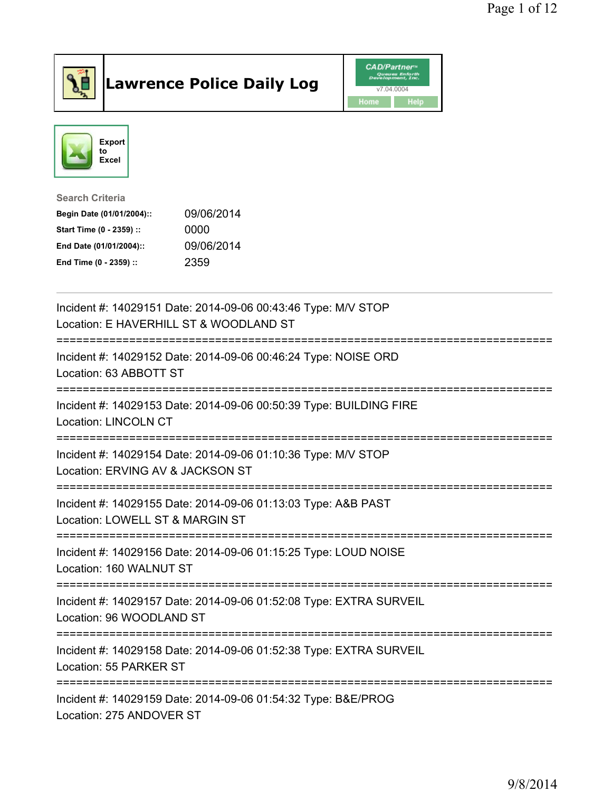

## Lawrence Police Daily Log **Daniel CAD/Partner**





Search Criteria Begin Date (01/01/2004):: 09/06/2014 Start Time (0 - 2359) :: 0000 End Date (01/01/2004):: 09/06/2014 End Time (0 - 2359) :: 2359

| Incident #: 14029151 Date: 2014-09-06 00:43:46 Type: M/V STOP<br>Location: E HAVERHILL ST & WOODLAND ST |
|---------------------------------------------------------------------------------------------------------|
| Incident #: 14029152 Date: 2014-09-06 00:46:24 Type: NOISE ORD<br>Location: 63 ABBOTT ST                |
| Incident #: 14029153 Date: 2014-09-06 00:50:39 Type: BUILDING FIRE<br><b>Location: LINCOLN CT</b>       |
| Incident #: 14029154 Date: 2014-09-06 01:10:36 Type: M/V STOP<br>Location: ERVING AV & JACKSON ST       |
| Incident #: 14029155 Date: 2014-09-06 01:13:03 Type: A&B PAST<br>Location: LOWELL ST & MARGIN ST        |
| Incident #: 14029156 Date: 2014-09-06 01:15:25 Type: LOUD NOISE<br>Location: 160 WALNUT ST              |
| Incident #: 14029157 Date: 2014-09-06 01:52:08 Type: EXTRA SURVEIL<br>Location: 96 WOODLAND ST          |
| Incident #: 14029158 Date: 2014-09-06 01:52:38 Type: EXTRA SURVEIL<br>Location: 55 PARKER ST            |
| Incident #: 14029159 Date: 2014-09-06 01:54:32 Type: B&E/PROG<br>Location: 275 ANDOVER ST               |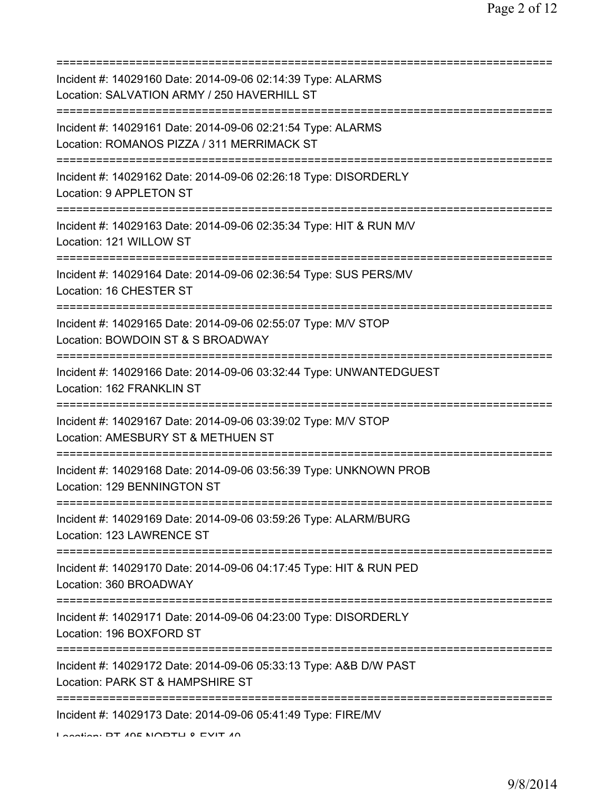| Incident #: 14029160 Date: 2014-09-06 02:14:39 Type: ALARMS<br>Location: SALVATION ARMY / 250 HAVERHILL ST                                         |
|----------------------------------------------------------------------------------------------------------------------------------------------------|
| Incident #: 14029161 Date: 2014-09-06 02:21:54 Type: ALARMS<br>Location: ROMANOS PIZZA / 311 MERRIMACK ST<br>===================================== |
| Incident #: 14029162 Date: 2014-09-06 02:26:18 Type: DISORDERLY<br>Location: 9 APPLETON ST                                                         |
| Incident #: 14029163 Date: 2014-09-06 02:35:34 Type: HIT & RUN M/V<br>Location: 121 WILLOW ST                                                      |
| Incident #: 14029164 Date: 2014-09-06 02:36:54 Type: SUS PERS/MV<br>Location: 16 CHESTER ST                                                        |
| Incident #: 14029165 Date: 2014-09-06 02:55:07 Type: M/V STOP<br>Location: BOWDOIN ST & S BROADWAY                                                 |
| Incident #: 14029166 Date: 2014-09-06 03:32:44 Type: UNWANTEDGUEST<br>Location: 162 FRANKLIN ST                                                    |
| Incident #: 14029167 Date: 2014-09-06 03:39:02 Type: M/V STOP<br>Location: AMESBURY ST & METHUEN ST                                                |
| Incident #: 14029168 Date: 2014-09-06 03:56:39 Type: UNKNOWN PROB<br>Location: 129 BENNINGTON ST                                                   |
| Incident #: 14029169 Date: 2014-09-06 03:59:26 Type: ALARM/BURG<br>Location: 123 LAWRENCE ST                                                       |
| Incident #: 14029170 Date: 2014-09-06 04:17:45 Type: HIT & RUN PED<br>Location: 360 BROADWAY                                                       |
| Incident #: 14029171 Date: 2014-09-06 04:23:00 Type: DISORDERLY<br>Location: 196 BOXFORD ST                                                        |
| =========================<br>Incident #: 14029172 Date: 2014-09-06 05:33:13 Type: A&B D/W PAST<br>Location: PARK ST & HAMPSHIRE ST                 |
| Incident #: 14029173 Date: 2014-09-06 05:41:49 Type: FIRE/MV<br>I continue DT ANE MODTLI 0 EVIT AN                                                 |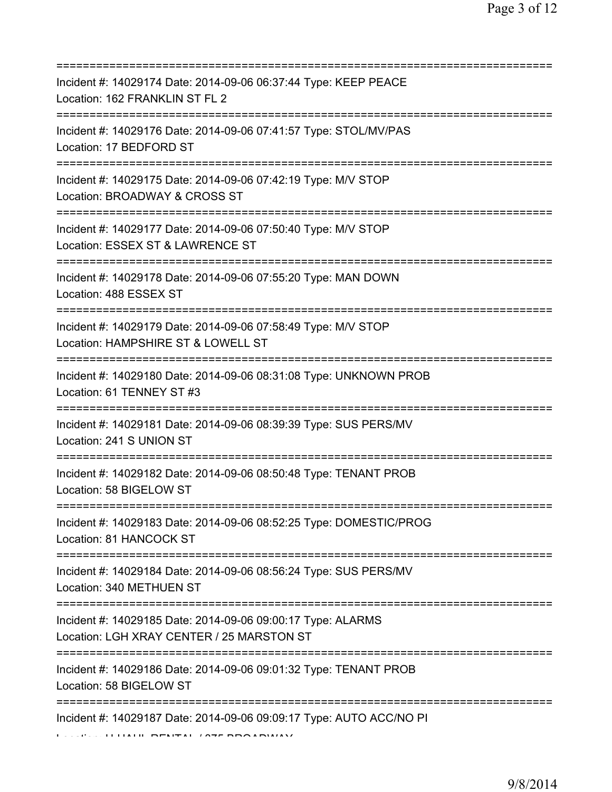| -------------------------------                                                                                                             |
|---------------------------------------------------------------------------------------------------------------------------------------------|
| Incident #: 14029174 Date: 2014-09-06 06:37:44 Type: KEEP PEACE<br>Location: 162 FRANKLIN ST FL 2                                           |
| Incident #: 14029176 Date: 2014-09-06 07:41:57 Type: STOL/MV/PAS<br>Location: 17 BEDFORD ST<br>=====================================        |
| Incident #: 14029175 Date: 2014-09-06 07:42:19 Type: M/V STOP<br>Location: BROADWAY & CROSS ST                                              |
| Incident #: 14029177 Date: 2014-09-06 07:50:40 Type: M/V STOP<br>Location: ESSEX ST & LAWRENCE ST<br>====================================== |
| Incident #: 14029178 Date: 2014-09-06 07:55:20 Type: MAN DOWN<br>Location: 488 ESSEX ST<br>================================                 |
| Incident #: 14029179 Date: 2014-09-06 07:58:49 Type: M/V STOP<br>Location: HAMPSHIRE ST & LOWELL ST                                         |
| Incident #: 14029180 Date: 2014-09-06 08:31:08 Type: UNKNOWN PROB<br>Location: 61 TENNEY ST #3                                              |
| Incident #: 14029181 Date: 2014-09-06 08:39:39 Type: SUS PERS/MV<br>Location: 241 S UNION ST                                                |
| Incident #: 14029182 Date: 2014-09-06 08:50:48 Type: TENANT PROB<br>Location: 58 BIGELOW ST                                                 |
| Incident #: 14029183 Date: 2014-09-06 08:52:25 Type: DOMESTIC/PROG<br>Location: 81 HANCOCK ST                                               |
| Incident #: 14029184 Date: 2014-09-06 08:56:24 Type: SUS PERS/MV<br>Location: 340 METHUEN ST                                                |
| Incident #: 14029185 Date: 2014-09-06 09:00:17 Type: ALARMS<br>Location: LGH XRAY CENTER / 25 MARSTON ST                                    |
| Incident #: 14029186 Date: 2014-09-06 09:01:32 Type: TENANT PROB<br>Location: 58 BIGELOW ST                                                 |
| ==================================<br>Incident #: 14029187 Date: 2014-09-06 09:09:17 Type: AUTO ACC/NO PI                                   |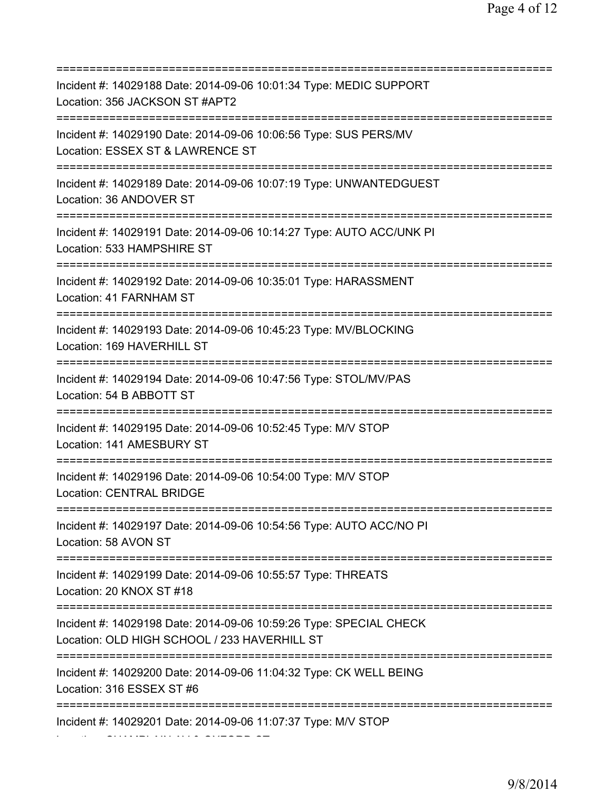=========================================================================== Incident #: 14029188 Date: 2014-09-06 10:01:34 Type: MEDIC SUPPORT Location: 356 JACKSON ST #APT2 =========================================================================== Incident #: 14029190 Date: 2014-09-06 10:06:56 Type: SUS PERS/MV Location: ESSEX ST & LAWRENCE ST =========================================================================== Incident #: 14029189 Date: 2014-09-06 10:07:19 Type: UNWANTEDGUEST Location: 36 ANDOVER ST =========================================================================== Incident #: 14029191 Date: 2014-09-06 10:14:27 Type: AUTO ACC/UNK PI Location: 533 HAMPSHIRE ST =========================================================================== Incident #: 14029192 Date: 2014-09-06 10:35:01 Type: HARASSMENT Location: 41 FARNHAM ST =========================================================================== Incident #: 14029193 Date: 2014-09-06 10:45:23 Type: MV/BLOCKING Location: 169 HAVERHILL ST =========================================================================== Incident #: 14029194 Date: 2014-09-06 10:47:56 Type: STOL/MV/PAS Location: 54 B ABBOTT ST =========================================================================== Incident #: 14029195 Date: 2014-09-06 10:52:45 Type: M/V STOP Location: 141 AMESBURY ST =========================================================================== Incident #: 14029196 Date: 2014-09-06 10:54:00 Type: M/V STOP Location: CENTRAL BRIDGE =========================================================================== Incident #: 14029197 Date: 2014-09-06 10:54:56 Type: AUTO ACC/NO PI Location: 58 AVON ST =========================================================================== Incident #: 14029199 Date: 2014-09-06 10:55:57 Type: THREATS Location: 20 KNOX ST #18 =========================================================================== Incident #: 14029198 Date: 2014-09-06 10:59:26 Type: SPECIAL CHECK Location: OLD HIGH SCHOOL / 233 HAVERHILL ST =========================================================================== Incident #: 14029200 Date: 2014-09-06 11:04:32 Type: CK WELL BEING Location: 316 ESSEX ST #6 =========================================================================== Incident #: 14029201 Date: 2014-09-06 11:07:37 Type: M/V STOP Location: CHAMPLAIN AV & OXFORD ST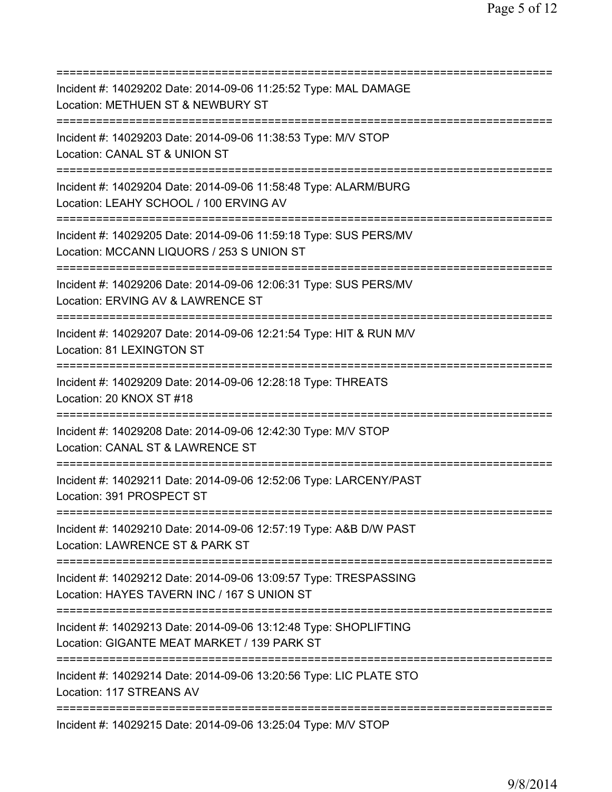=========================================================================== Incident #: 14029202 Date: 2014-09-06 11:25:52 Type: MAL DAMAGE Location: METHUEN ST & NEWBURY ST =========================================================================== Incident #: 14029203 Date: 2014-09-06 11:38:53 Type: M/V STOP Location: CANAL ST & UNION ST =========================================================================== Incident #: 14029204 Date: 2014-09-06 11:58:48 Type: ALARM/BURG Location: LEAHY SCHOOL / 100 ERVING AV =========================================================================== Incident #: 14029205 Date: 2014-09-06 11:59:18 Type: SUS PERS/MV Location: MCCANN LIQUORS / 253 S UNION ST =========================================================================== Incident #: 14029206 Date: 2014-09-06 12:06:31 Type: SUS PERS/MV Location: ERVING AV & LAWRENCE ST =========================================================================== Incident #: 14029207 Date: 2014-09-06 12:21:54 Type: HIT & RUN M/V Location: 81 LEXINGTON ST =========================================================================== Incident #: 14029209 Date: 2014-09-06 12:28:18 Type: THREATS Location: 20 KNOX ST #18 =========================================================================== Incident #: 14029208 Date: 2014-09-06 12:42:30 Type: M/V STOP Location: CANAL ST & LAWRENCE ST =========================================================================== Incident #: 14029211 Date: 2014-09-06 12:52:06 Type: LARCENY/PAST Location: 391 PROSPECT ST =========================================================================== Incident #: 14029210 Date: 2014-09-06 12:57:19 Type: A&B D/W PAST Location: LAWRENCE ST & PARK ST =========================================================================== Incident #: 14029212 Date: 2014-09-06 13:09:57 Type: TRESPASSING Location: HAYES TAVERN INC / 167 S UNION ST =========================================================================== Incident #: 14029213 Date: 2014-09-06 13:12:48 Type: SHOPLIFTING Location: GIGANTE MEAT MARKET / 139 PARK ST =========================================================================== Incident #: 14029214 Date: 2014-09-06 13:20:56 Type: LIC PLATE STO Location: 117 STREANS AV =========================================================================== Incident #: 14029215 Date: 2014-09-06 13:25:04 Type: M/V STOP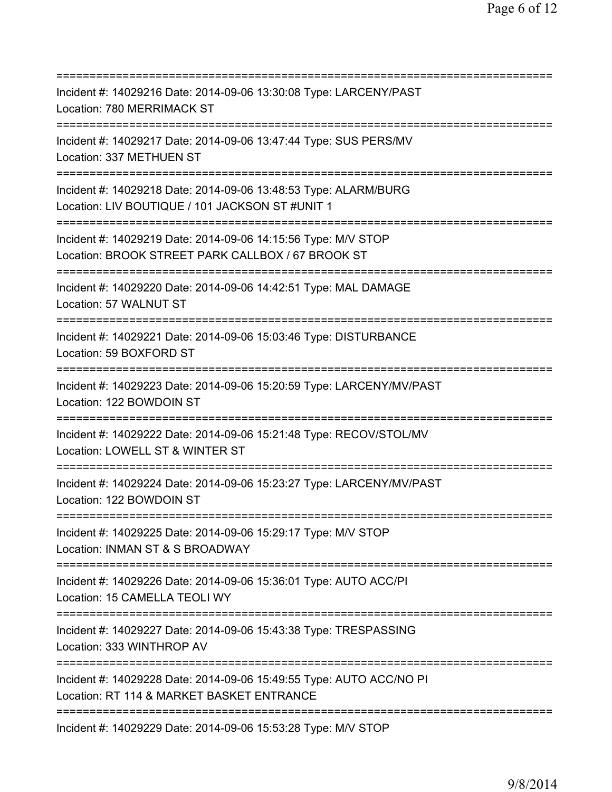=========================================================================== Incident #: 14029216 Date: 2014-09-06 13:30:08 Type: LARCENY/PAST Location: 780 MERRIMACK ST =========================================================================== Incident #: 14029217 Date: 2014-09-06 13:47:44 Type: SUS PERS/MV Location: 337 METHUEN ST =========================================================================== Incident #: 14029218 Date: 2014-09-06 13:48:53 Type: ALARM/BURG Location: LIV BOUTIQUE / 101 JACKSON ST #UNIT 1 =========================================================================== Incident #: 14029219 Date: 2014-09-06 14:15:56 Type: M/V STOP Location: BROOK STREET PARK CALLBOX / 67 BROOK ST =========================================================================== Incident #: 14029220 Date: 2014-09-06 14:42:51 Type: MAL DAMAGE Location: 57 WALNUT ST =========================================================================== Incident #: 14029221 Date: 2014-09-06 15:03:46 Type: DISTURBANCE Location: 59 BOXFORD ST =========================================================================== Incident #: 14029223 Date: 2014-09-06 15:20:59 Type: LARCENY/MV/PAST Location: 122 BOWDOIN ST =========================================================================== Incident #: 14029222 Date: 2014-09-06 15:21:48 Type: RECOV/STOL/MV Location: LOWELL ST & WINTER ST =========================================================================== Incident #: 14029224 Date: 2014-09-06 15:23:27 Type: LARCENY/MV/PAST Location: 122 BOWDOIN ST =========================================================================== Incident #: 14029225 Date: 2014-09-06 15:29:17 Type: M/V STOP Location: INMAN ST & S BROADWAY =========================================================================== Incident #: 14029226 Date: 2014-09-06 15:36:01 Type: AUTO ACC/PI Location: 15 CAMELLA TEOLI WY =========================================================================== Incident #: 14029227 Date: 2014-09-06 15:43:38 Type: TRESPASSING Location: 333 WINTHROP AV =========================================================================== Incident #: 14029228 Date: 2014-09-06 15:49:55 Type: AUTO ACC/NO PI Location: RT 114 & MARKET BASKET ENTRANCE =========================================================================== Incident #: 14029229 Date: 2014-09-06 15:53:28 Type: M/V STOP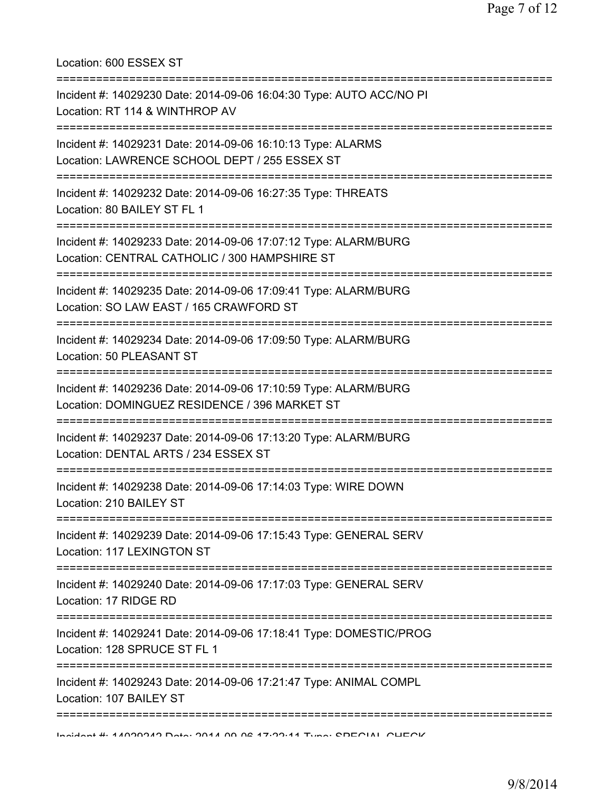Location: 600 ESSEX ST =========================================================================== Incident #: 14029230 Date: 2014-09-06 16:04:30 Type: AUTO ACC/NO PI Location: RT 114 & WINTHROP AV =========================================================================== Incident #: 14029231 Date: 2014-09-06 16:10:13 Type: ALARMS Location: LAWRENCE SCHOOL DEPT / 255 ESSEX ST =========================================================================== Incident #: 14029232 Date: 2014-09-06 16:27:35 Type: THREATS Location: 80 BAILEY ST FL 1 =========================================================================== Incident #: 14029233 Date: 2014-09-06 17:07:12 Type: ALARM/BURG Location: CENTRAL CATHOLIC / 300 HAMPSHIRE ST =========================================================================== Incident #: 14029235 Date: 2014-09-06 17:09:41 Type: ALARM/BURG Location: SO LAW EAST / 165 CRAWFORD ST =========================================================================== Incident #: 14029234 Date: 2014-09-06 17:09:50 Type: ALARM/BURG Location: 50 PLEASANT ST =========================================================================== Incident #: 14029236 Date: 2014-09-06 17:10:59 Type: ALARM/BURG Location: DOMINGUEZ RESIDENCE / 396 MARKET ST =========================================================================== Incident #: 14029237 Date: 2014-09-06 17:13:20 Type: ALARM/BURG Location: DENTAL ARTS / 234 ESSEX ST =========================================================================== Incident #: 14029238 Date: 2014-09-06 17:14:03 Type: WIRE DOWN Location: 210 BAILEY ST =========================================================================== Incident #: 14029239 Date: 2014-09-06 17:15:43 Type: GENERAL SERV Location: 117 LEXINGTON ST =========================================================================== Incident #: 14029240 Date: 2014-09-06 17:17:03 Type: GENERAL SERV Location: 17 RIDGE RD =========================================================================== Incident #: 14029241 Date: 2014-09-06 17:18:41 Type: DOMESTIC/PROG Location: 128 SPRUCE ST FL 1 =========================================================================== Incident #: 14029243 Date: 2014-09-06 17:21:47 Type: ANIMAL COMPL Location: 107 BAILEY ST =========================================================================== Incident #: 14029242 Date: 2014 09 06 17:22:11 Type: SPECIAL CHECK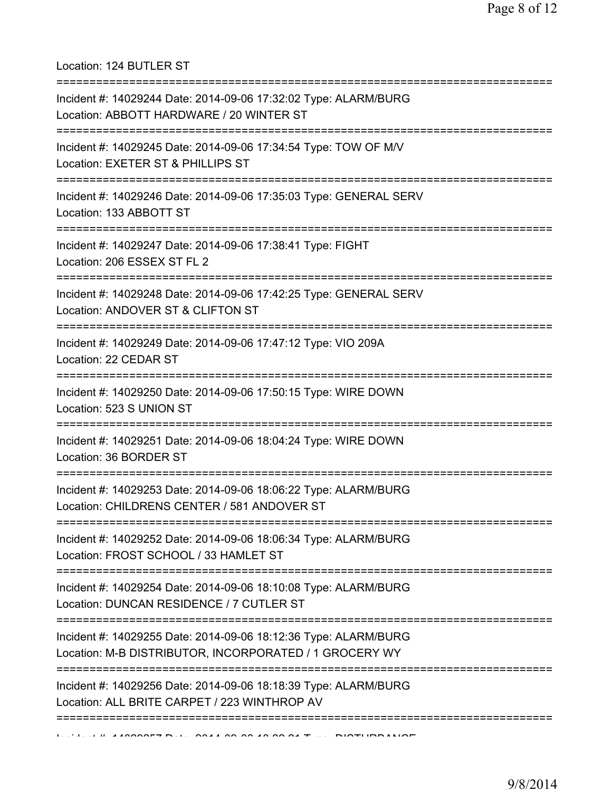Location: 124 BUTLER ST

| Incident #: 14029244 Date: 2014-09-06 17:32:02 Type: ALARM/BURG<br>Location: ABBOTT HARDWARE / 20 WINTER ST                                   |
|-----------------------------------------------------------------------------------------------------------------------------------------------|
| ;====================================<br>Incident #: 14029245 Date: 2014-09-06 17:34:54 Type: TOW OF M/V<br>Location: EXETER ST & PHILLIPS ST |
| Incident #: 14029246 Date: 2014-09-06 17:35:03 Type: GENERAL SERV<br>Location: 133 ABBOTT ST                                                  |
| Incident #: 14029247 Date: 2014-09-06 17:38:41 Type: FIGHT<br>Location: 206 ESSEX ST FL 2                                                     |
| Incident #: 14029248 Date: 2014-09-06 17:42:25 Type: GENERAL SERV<br>Location: ANDOVER ST & CLIFTON ST                                        |
| Incident #: 14029249 Date: 2014-09-06 17:47:12 Type: VIO 209A<br>Location: 22 CEDAR ST                                                        |
| Incident #: 14029250 Date: 2014-09-06 17:50:15 Type: WIRE DOWN<br>Location: 523 S UNION ST                                                    |
| Incident #: 14029251 Date: 2014-09-06 18:04:24 Type: WIRE DOWN<br>Location: 36 BORDER ST                                                      |
| Incident #: 14029253 Date: 2014-09-06 18:06:22 Type: ALARM/BURG<br>Location: CHILDRENS CENTER / 581 ANDOVER ST                                |
| Incident #: 14029252 Date: 2014-09-06 18:06:34 Type: ALARM/BURG<br>Location: FROST SCHOOL / 33 HAMLET ST                                      |
| Incident #: 14029254 Date: 2014-09-06 18:10:08 Type: ALARM/BURG<br>Location: DUNCAN RESIDENCE / 7 CUTLER ST                                   |
| Incident #: 14029255 Date: 2014-09-06 18:12:36 Type: ALARM/BURG<br>Location: M-B DISTRIBUTOR, INCORPORATED / 1 GROCERY WY                     |
| Incident #: 14029256 Date: 2014-09-06 18:18:39 Type: ALARM/BURG<br>Location: ALL BRITE CARPET / 223 WINTHROP AV                               |
|                                                                                                                                               |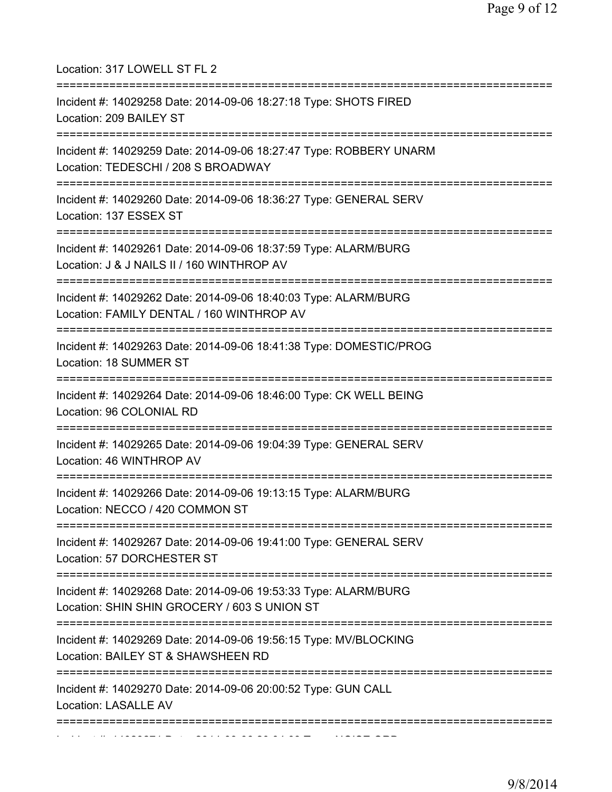| Location: 317 LOWELL ST FL 2<br>=====================                                                                                          |
|------------------------------------------------------------------------------------------------------------------------------------------------|
| Incident #: 14029258 Date: 2014-09-06 18:27:18 Type: SHOTS FIRED<br>Location: 209 BAILEY ST                                                    |
| Incident #: 14029259 Date: 2014-09-06 18:27:47 Type: ROBBERY UNARM<br>Location: TEDESCHI / 208 S BROADWAY                                      |
| Incident #: 14029260 Date: 2014-09-06 18:36:27 Type: GENERAL SERV<br>Location: 137 ESSEX ST                                                    |
| Incident #: 14029261 Date: 2014-09-06 18:37:59 Type: ALARM/BURG<br>Location: J & J NAILS II / 160 WINTHROP AV                                  |
| Incident #: 14029262 Date: 2014-09-06 18:40:03 Type: ALARM/BURG<br>Location: FAMILY DENTAL / 160 WINTHROP AV<br>============================== |
| Incident #: 14029263 Date: 2014-09-06 18:41:38 Type: DOMESTIC/PROG<br>Location: 18 SUMMER ST                                                   |
| Incident #: 14029264 Date: 2014-09-06 18:46:00 Type: CK WELL BEING<br>Location: 96 COLONIAL RD                                                 |
| Incident #: 14029265 Date: 2014-09-06 19:04:39 Type: GENERAL SERV<br>Location: 46 WINTHROP AV                                                  |
| Incident #: 14029266 Date: 2014-09-06 19:13:15 Type: ALARM/BURG<br>Location: NECCO / 420 COMMON ST                                             |
| Incident #: 14029267 Date: 2014-09-06 19:41:00 Type: GENERAL SERV<br>Location: 57 DORCHESTER ST                                                |
| Incident #: 14029268 Date: 2014-09-06 19:53:33 Type: ALARM/BURG<br>Location: SHIN SHIN GROCERY / 603 S UNION ST                                |
| Incident #: 14029269 Date: 2014-09-06 19:56:15 Type: MV/BLOCKING<br>Location: BAILEY ST & SHAWSHEEN RD                                         |
| Incident #: 14029270 Date: 2014-09-06 20:00:52 Type: GUN CALL<br><b>Location: LASALLE AV</b>                                                   |
|                                                                                                                                                |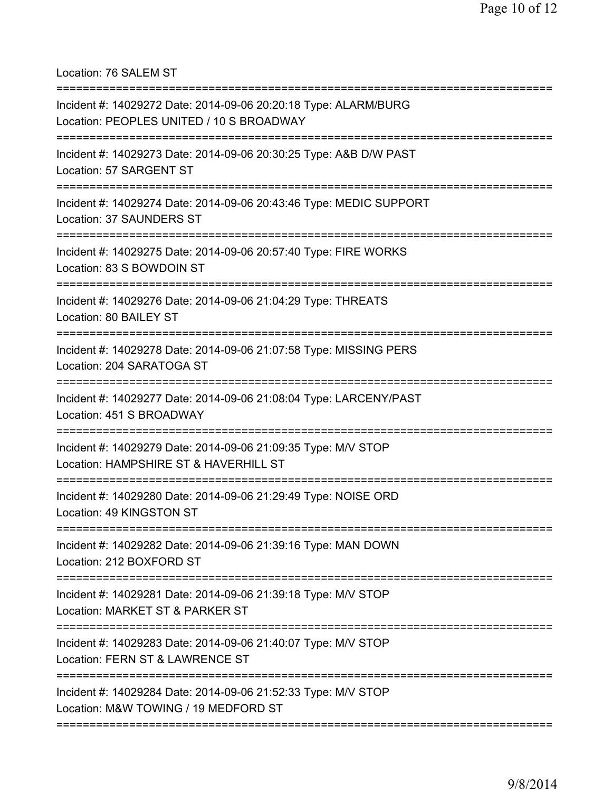Location: 76 SALEM ST

| Incident #: 14029272 Date: 2014-09-06 20:20:18 Type: ALARM/BURG<br>Location: PEOPLES UNITED / 10 S BROADWAY              |
|--------------------------------------------------------------------------------------------------------------------------|
| Incident #: 14029273 Date: 2014-09-06 20:30:25 Type: A&B D/W PAST<br>Location: 57 SARGENT ST                             |
| Incident #: 14029274 Date: 2014-09-06 20:43:46 Type: MEDIC SUPPORT<br>Location: 37 SAUNDERS ST                           |
| Incident #: 14029275 Date: 2014-09-06 20:57:40 Type: FIRE WORKS<br>Location: 83 S BOWDOIN ST                             |
| Incident #: 14029276 Date: 2014-09-06 21:04:29 Type: THREATS<br>Location: 80 BAILEY ST                                   |
| Incident #: 14029278 Date: 2014-09-06 21:07:58 Type: MISSING PERS<br>Location: 204 SARATOGA ST                           |
| Incident #: 14029277 Date: 2014-09-06 21:08:04 Type: LARCENY/PAST<br>Location: 451 S BROADWAY                            |
| ==============<br>Incident #: 14029279 Date: 2014-09-06 21:09:35 Type: M/V STOP<br>Location: HAMPSHIRE ST & HAVERHILL ST |
| Incident #: 14029280 Date: 2014-09-06 21:29:49 Type: NOISE ORD<br>Location: 49 KINGSTON ST                               |
| Incident #: 14029282 Date: 2014-09-06 21:39:16 Type: MAN DOWN<br>Location: 212 BOXFORD ST                                |
| Incident #: 14029281 Date: 2014-09-06 21:39:18 Type: M/V STOP<br>Location: MARKET ST & PARKER ST                         |
| Incident #: 14029283 Date: 2014-09-06 21:40:07 Type: M/V STOP<br>Location: FERN ST & LAWRENCE ST                         |
| Incident #: 14029284 Date: 2014-09-06 21:52:33 Type: M/V STOP<br>Location: M&W TOWING / 19 MEDFORD ST                    |
|                                                                                                                          |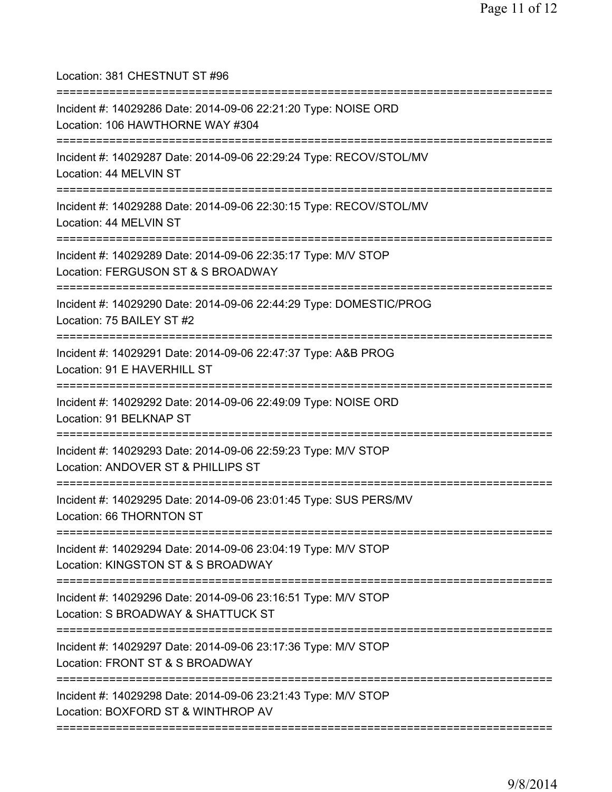Location: 381 CHESTNUT ST #96 =========================================================================== Incident #: 14029286 Date: 2014-09-06 22:21:20 Type: NOISE ORD Location: 106 HAWTHORNE WAY #304 =========================================================================== Incident #: 14029287 Date: 2014-09-06 22:29:24 Type: RECOV/STOL/MV Location: 44 MELVIN ST =========================================================================== Incident #: 14029288 Date: 2014-09-06 22:30:15 Type: RECOV/STOL/MV Location: 44 MELVIN ST =========================================================================== Incident #: 14029289 Date: 2014-09-06 22:35:17 Type: M/V STOP Location: FERGUSON ST & S BROADWAY =========================================================================== Incident #: 14029290 Date: 2014-09-06 22:44:29 Type: DOMESTIC/PROG Location: 75 BAILEY ST #2 =========================================================================== Incident #: 14029291 Date: 2014-09-06 22:47:37 Type: A&B PROG Location: 91 E HAVERHILL ST =========================================================================== Incident #: 14029292 Date: 2014-09-06 22:49:09 Type: NOISE ORD Location: 91 BELKNAP ST =========================================================================== Incident #: 14029293 Date: 2014-09-06 22:59:23 Type: M/V STOP Location: ANDOVER ST & PHILLIPS ST =========================================================================== Incident #: 14029295 Date: 2014-09-06 23:01:45 Type: SUS PERS/MV Location: 66 THORNTON ST =========================================================================== Incident #: 14029294 Date: 2014-09-06 23:04:19 Type: M/V STOP Location: KINGSTON ST & S BROADWAY =========================================================================== Incident #: 14029296 Date: 2014-09-06 23:16:51 Type: M/V STOP Location: S BROADWAY & SHATTUCK ST =========================================================================== Incident #: 14029297 Date: 2014-09-06 23:17:36 Type: M/V STOP Location: FRONT ST & S BROADWAY =========================================================================== Incident #: 14029298 Date: 2014-09-06 23:21:43 Type: M/V STOP Location: BOXFORD ST & WINTHROP AV ===========================================================================